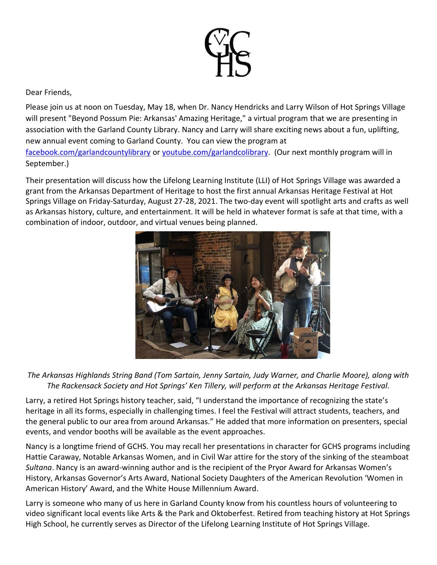

Dear Friends,

Please join us at noon on Tuesday, May 18, when Dr. Nancy Hendricks and Larry Wilson of Hot Springs Village will present "Beyond Possum Pie: Arkansas' Amazing Heritage," a virtual program that we are presenting in association with the Garland County Library. Nancy and Larry will share exciting news about a fun, uplifting, new annual event coming to Garland County. You can view the program at [facebook.com/garlandcountylibrary](http://facebook.com/garlandcountylibrary) or voutube.com/garlandcolibrary. (Our next monthly program will in September.)

Their presentation will discuss how the Lifelong Learning Institute (LLI) of Hot Springs Village was awarded a grant from the Arkansas Department of Heritage to host the first annual Arkansas Heritage Festival at Hot Springs Village on Friday-Saturday, August 27-28, 2021. The two-day event will spotlight arts and crafts as well as Arkansas history, culture, and entertainment. It will be held in whatever format is safe at that time, with a combination of indoor, outdoor, and virtual venues being planned.



*The Arkansas Highlands String Band (Tom Sartain, Jenny Sartain, Judy Warner, and Charlie Moore), along with The Rackensack Society and Hot Springs' Ken Tillery, will perform at the Arkansas Heritage Festival.*

Larry, a retired Hot Springs history teacher, said, "I understand the importance of recognizing the state's heritage in all its forms, especially in challenging times. I feel the Festival will attract students, teachers, and the general public to our area from around Arkansas." He added that more information on presenters, special events, and vendor booths will be available as the event approaches.

Nancy is a longtime friend of GCHS. You may recall her presentations in character for GCHS programs including Hattie Caraway, Notable Arkansas Women, and in Civil War attire for the story of the sinking of the steamboat *Sultana*. Nancy is an award-winning author and is the recipient of the Pryor Award for Arkansas Women's History, Arkansas Governor's Arts Award, National Society Daughters of the American Revolution 'Women in American History' Award, and the White House Millennium Award.

Larry is someone who many of us here in Garland County know from his countless hours of volunteering to video significant local events like Arts & the Park and Oktoberfest. Retired from teaching history at Hot Springs High School, he currently serves as Director of the Lifelong Learning Institute of Hot Springs Village.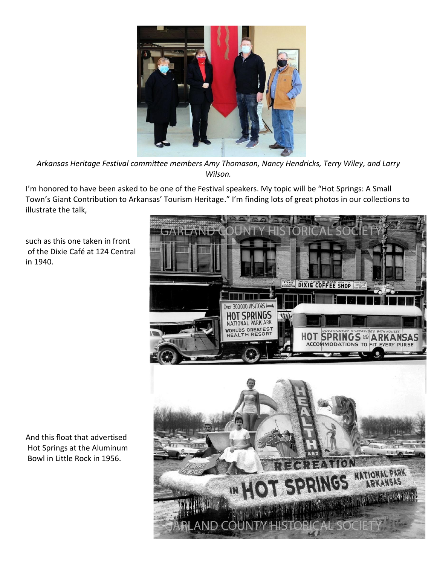

*Arkansas Heritage Festival committee members Amy Thomason, Nancy Hendricks, Terry Wiley, and Larry Wilson.* 

I'm honored to have been asked to be one of the Festival speakers. My topic will be "Hot Springs: A Small Town's Giant Contribution to Arkansas' Tourism Heritage." I'm finding lots of great photos in our collections to illustrate the talk,

such as this one taken in front of the Dixie Café at 124 Central in 1940.

And this float that advertised Hot Springs at the Aluminum Bowl in Little Rock in 1956.

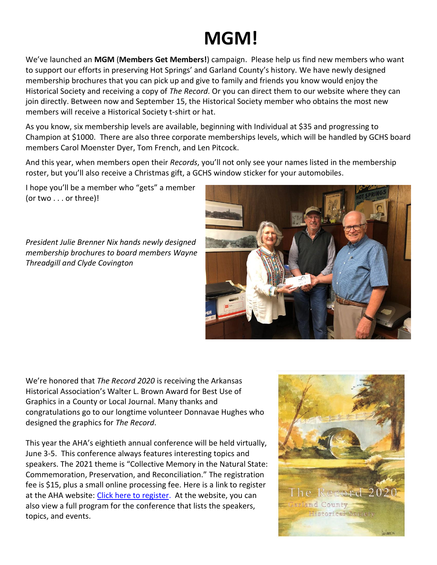## **MGM!**

We've launched an **MGM** (**Members Get Members!**) campaign. Please help us find new members who want to support our efforts in preserving Hot Springs' and Garland County's history. We have newly designed membership brochures that you can pick up and give to family and friends you know would enjoy the Historical Society and receiving a copy of *The Record*. Or you can direct them to our website where they can join directly. Between now and September 15, the Historical Society member who obtains the most new members will receive a Historical Society t-shirt or hat.

As you know, six membership levels are available, beginning with Individual at \$35 and progressing to Champion at \$1000. There are also three corporate memberships levels, which will be handled by GCHS board members Carol Moenster Dyer, Tom French, and Len Pitcock.

And this year, when members open their *Records*, you'll not only see your names listed in the membership roster, but you'll also receive a Christmas gift, a GCHS window sticker for your automobiles.

I hope you'll be a member who "gets" a member (or two . . . or three)!

*President Julie Brenner Nix hands newly designed membership brochures to board members Wayne Threadgill and Clyde Covington*



We're honored that *The Record 2020* is receiving the Arkansas Historical Association's Walter L. Brown Award for Best Use of Graphics in a County or Local Journal. Many thanks and congratulations go to our longtime volunteer Donnavae Hughes who designed the graphics for *The Record*.

This year the AHA's eightieth annual conference will be held virtually, June 3-5. This conference always features interesting topics and speakers. The 2021 theme is "Collective Memory in the Natural State: Commemoration, Preservation, and Reconciliation." The registration fee is \$15, plus a small online processing fee. Here is a link to register at the AHA website: [Click here to register.](https://www.eventbrite.com/e/arkansas-historical-association-80th-annual-conference-tickets-153892826587) At the website, you can also view a full program for the conference that lists the speakers, topics, and events.

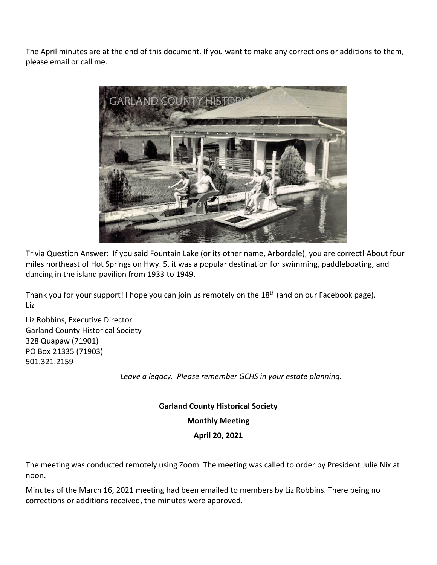The April minutes are at the end of this document. If you want to make any corrections or additions to them, please email or call me.



Trivia Question Answer: If you said Fountain Lake (or its other name, Arbordale), you are correct! About four miles northeast of Hot Springs on Hwy. 5, it was a popular destination for swimming, paddleboating, and dancing in the island pavilion from 1933 to 1949.

Thank you for your support! I hope you can join us remotely on the 18<sup>th</sup> (and on our Facebook page). Liz

Liz Robbins, Executive Director Garland County Historical Society 328 Quapaw (71901) PO Box 21335 (71903) 501.321.2159

*Leave a legacy. Please remember GCHS in your estate planning.*

**Garland County Historical Society Monthly Meeting**

## **April 20, 2021**

The meeting was conducted remotely using Zoom. The meeting was called to order by President Julie Nix at noon.

Minutes of the March 16, 2021 meeting had been emailed to members by Liz Robbins. There being no corrections or additions received, the minutes were approved.